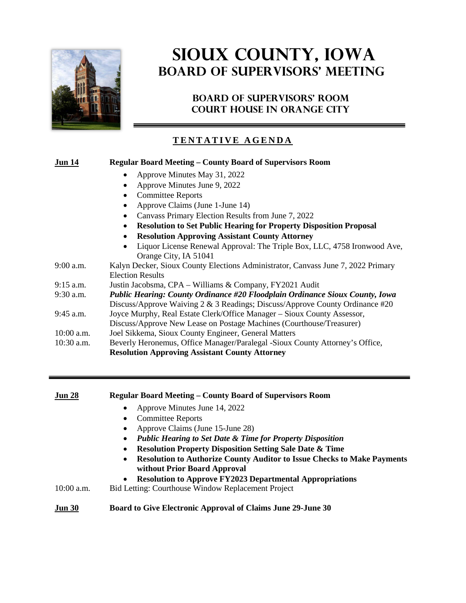

# **SIOUX COUNTY, Iowa BOARD OF SUPERVISORS' MEETING**

### **BOARD OF SUPERVISORS' ROOM COURT HOUSE IN ORANGE CITY**

### **TENTATIVE AGENDA**

### **Jun 14 Regular Board Meeting – County Board of Supervisors Room** • Approve Minutes May 31, 2022 • Approve Minutes June 9, 2022 • Committee Reports • Approve Claims (June 1-June 14) • Canvass Primary Election Results from June 7, 2022 • **Resolution to Set Public Hearing for Property Disposition Proposal** • **Resolution Approving Assistant County Attorney** • Liquor License Renewal Approval: The Triple Box, LLC, 4758 Ironwood Ave, Orange City, IA 51041 9:00 a.m. Kalyn Decker, Sioux County Elections Administrator, Canvass June 7, 2022 Primary Election Results 9:15 a.m. Justin Jacobsma, CPA – Williams & Company, FY2021 Audit 9:30 a.m. *Public Hearing: County Ordinance #20 Floodplain Ordinance Sioux County, Iowa* Discuss/Approve Waiving 2 & 3 Readings; Discuss/Approve County Ordinance #20 9:45 a.m. Joyce Murphy, Real Estate Clerk/Office Manager – Sioux County Assessor, Discuss/Approve New Lease on Postage Machines (Courthouse/Treasurer) 10:00 a.m. Joel Sikkema, Sioux County Engineer, General Matters 10:30 a.m. Beverly Heronemus, Office Manager/Paralegal -Sioux County Attorney's Office, **Resolution Approving Assistant County Attorney**

| Approve Minutes June 14, 2022<br><b>Committee Reports</b>                                                                   |
|-----------------------------------------------------------------------------------------------------------------------------|
| Approve Claims (June 15-June 28)                                                                                            |
| <b>Public Hearing to Set Date &amp; Time for Property Disposition</b>                                                       |
| <b>Resolution Property Disposition Setting Sale Date &amp; Time</b>                                                         |
| <b>Resolution to Authorize County Auditor to Issue Checks to Make Payments</b><br>$\bullet$<br>without Prior Board Approval |
| <b>Resolution to Approve FY2023 Departmental Appropriations</b><br>$\bullet$                                                |
| Bid Letting: Courthouse Window Replacement Project                                                                          |
| Board to Give Electronic Approval of Claims June 29-June 30                                                                 |
|                                                                                                                             |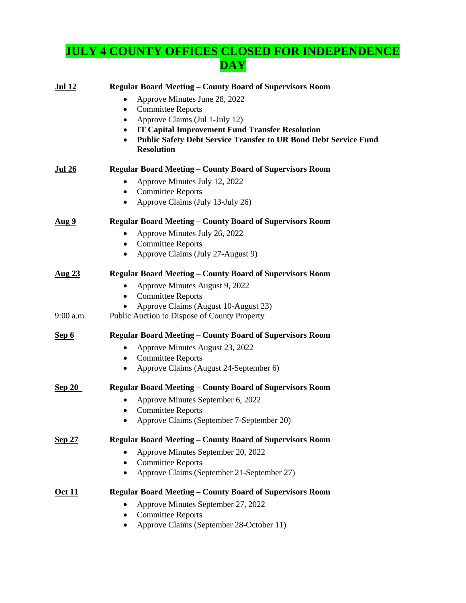# **JULY 4 COUNTY OFFICES CLOSED FOR INDEPENDENCE DAY**

| <u>Jul 12</u> | <b>Regular Board Meeting - County Board of Supervisors Room</b>              |
|---------------|------------------------------------------------------------------------------|
|               | Approve Minutes June 28, 2022<br>٠                                           |
|               | <b>Committee Reports</b><br>$\bullet$                                        |
|               | Approve Claims (Jul 1-July 12)<br>٠                                          |
|               | <b>IT Capital Improvement Fund Transfer Resolution</b><br>٠                  |
|               | <b>Public Safety Debt Service Transfer to UR Bond Debt Service Fund</b><br>٠ |
|               | <b>Resolution</b>                                                            |
| <u>Jul 26</u> | <b>Regular Board Meeting – County Board of Supervisors Room</b>              |
|               | Approve Minutes July 12, 2022                                                |
|               | <b>Committee Reports</b><br>٠                                                |
|               | Approve Claims (July 13-July 26)<br>٠                                        |
| <u>Aug 9</u>  | <b>Regular Board Meeting – County Board of Supervisors Room</b>              |
|               | Approve Minutes July 26, 2022                                                |
|               | <b>Committee Reports</b><br>٠                                                |
|               | Approve Claims (July 27-August 9)<br>٠                                       |
| <u>Aug 23</u> | <b>Regular Board Meeting – County Board of Supervisors Room</b>              |
|               | Approve Minutes August 9, 2022                                               |
|               | <b>Committee Reports</b><br>$\bullet$                                        |
|               | Approve Claims (August 10-August 23)                                         |
| $9:00$ a.m.   | Public Auction to Dispose of County Property                                 |
| Sep 6         | Regular Board Meeting - County Board of Supervisors Room                     |
|               | Approve Minutes August 23, 2022                                              |
|               | <b>Committee Reports</b>                                                     |
|               | Approve Claims (August 24-September 6)<br>٠                                  |
| <u>Sep 20</u> | <b>Regular Board Meeting - County Board of Supervisors Room</b>              |
|               | Approve Minutes September 6, 2022                                            |
|               | <b>Committee Reports</b>                                                     |
|               | Approve Claims (September 7-September 20)                                    |
| <b>Sep 27</b> | <b>Regular Board Meeting – County Board of Supervisors Room</b>              |
|               | Approve Minutes September 20, 2022                                           |
|               | <b>Committee Reports</b>                                                     |
|               | Approve Claims (September 21-September 27)<br>٠                              |
| <u>Oct 11</u> | <b>Regular Board Meeting - County Board of Supervisors Room</b>              |
|               | Approve Minutes September 27, 2022                                           |
|               | <b>Committee Reports</b><br>٠                                                |
|               | Approve Claims (September 28-October 11)<br>٠                                |